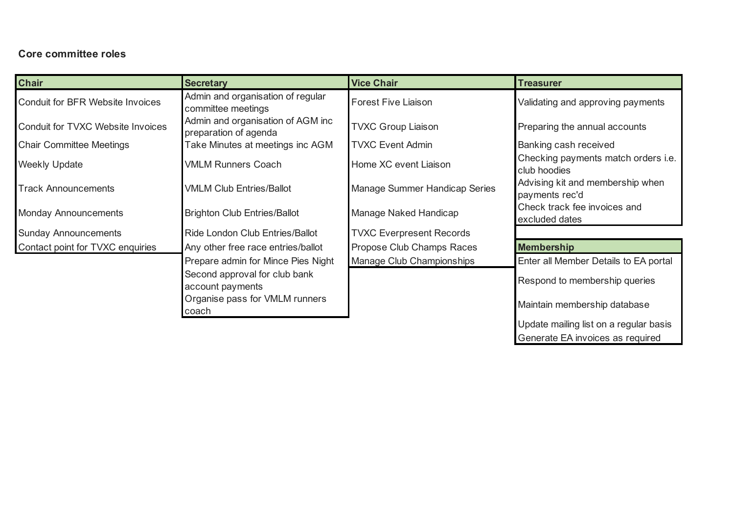## **Core committee roles**

| <b>Chair</b>                      | <b>Secretary</b>                                           | <b>Vice Chair</b>               | <b>Treasurer</b>                                    |
|-----------------------------------|------------------------------------------------------------|---------------------------------|-----------------------------------------------------|
| Conduit for BFR Website Invoices  | Admin and organisation of regular<br>committee meetings    | <b>Forest Five Liaison</b>      | Validating and approving payments                   |
| Conduit for TVXC Website Invoices | Admin and organisation of AGM inc<br>preparation of agenda | <b>TVXC Group Liaison</b>       | Preparing the annual accounts                       |
| <b>Chair Committee Meetings</b>   | Take Minutes at meetings inc AGM                           | <b>TVXC Event Admin</b>         | Banking cash received                               |
| <b>Weekly Update</b>              | <b>VMLM Runners Coach</b>                                  | Home XC event Liaison           | Checking payments match orders i.e.<br>club hoodies |
| <b>Track Announcements</b>        | <b>VMLM Club Entries/Ballot</b>                            | Manage Summer Handicap Series   | Advising kit and membership when<br>payments rec'd  |
| <b>Monday Announcements</b>       | <b>Brighton Club Entries/Ballot</b>                        | Manage Naked Handicap           | Check track fee invoices and<br>excluded dates      |
| <b>Sunday Announcements</b>       | Ride London Club Entries/Ballot                            | <b>TVXC Everpresent Records</b> |                                                     |
| Contact point for TVXC enquiries  | Any other free race entries/ballot                         | Propose Club Champs Races       | <b>Membership</b>                                   |
|                                   | Prepare admin for Mince Pies Night                         | Manage Club Championships       | Enter all Member Details to EA portal               |
|                                   | Second approval for club bank<br>account payments          |                                 | Respond to membership queries                       |
|                                   | Organise pass for VMLM runners<br>coach                    |                                 | Maintain membership database                        |
|                                   |                                                            |                                 | Update mailing list on a regular basis              |

Generate EA invoices as required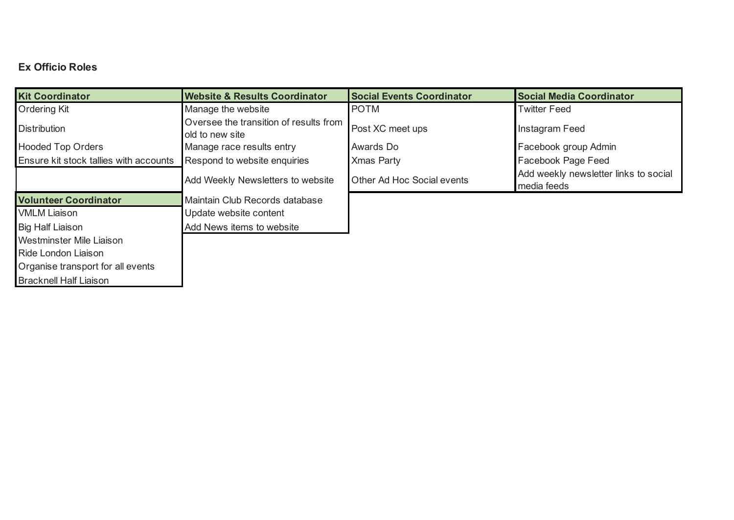## **Ex Officio Roles**

| <b>Kit Coordinator</b>                 | <b>Website &amp; Results Coordinator</b>                  | <b>Social Events Coordinator</b> | <b>Social Media Coordinator</b>                      |
|----------------------------------------|-----------------------------------------------------------|----------------------------------|------------------------------------------------------|
| <b>Ordering Kit</b>                    | Manage the website                                        | <b>POTM</b>                      | <b>Twitter Feed</b>                                  |
| <b>Distribution</b>                    | Oversee the transition of results from<br>old to new site | Post XC meet ups                 | Instagram Feed                                       |
| <b>Hooded Top Orders</b>               | Manage race results entry                                 | Awards Do                        | Facebook group Admin                                 |
| Ensure kit stock tallies with accounts | Respond to website enquiries                              | <b>Xmas Party</b>                | <b>Facebook Page Feed</b>                            |
|                                        | Add Weekly Newsletters to website                         | Other Ad Hoc Social events       | Add weekly newsletter links to social<br>media feeds |
| <b>Volunteer Coordinator</b>           | Maintain Club Records database                            |                                  |                                                      |
| <b>VMLM Liaison</b>                    | Update website content                                    |                                  |                                                      |
| <b>Big Half Liaison</b>                | Add News items to website                                 |                                  |                                                      |
| Westminster Mile Liaison               |                                                           |                                  |                                                      |
| Ride London Liaison                    |                                                           |                                  |                                                      |
| Organise transport for all events      |                                                           |                                  |                                                      |
|                                        |                                                           |                                  |                                                      |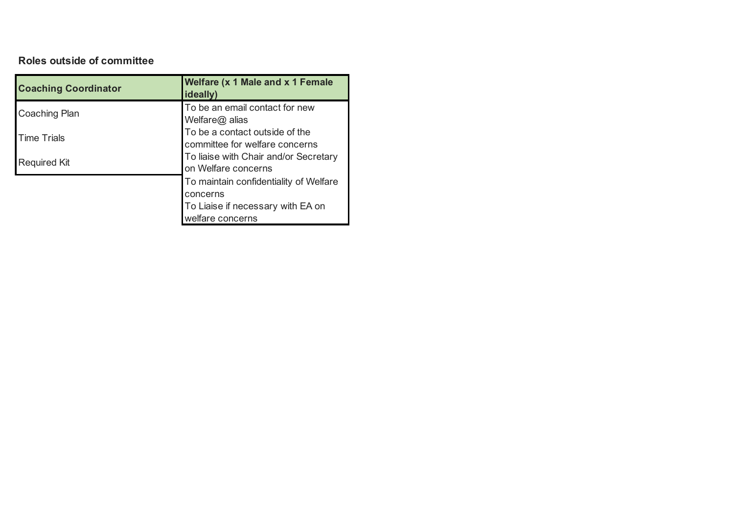## **Roles outside of committee**

| <b>Coaching Coordinator</b> | <b>Welfare (x 1 Male and x 1 Female</b><br>ideally)              |
|-----------------------------|------------------------------------------------------------------|
| Coaching Plan               | To be an email contact for new<br>Welfare@ alias                 |
| <b>Time Trials</b>          | To be a contact outside of the<br>committee for welfare concerns |
| <b>Required Kit</b>         | To liaise with Chair and/or Secretary<br>on Welfare concerns     |
|                             | To maintain confidentiality of Welfare                           |
|                             | concerns                                                         |
|                             | To Liaise if necessary with EA on                                |
|                             | welfare concerns                                                 |